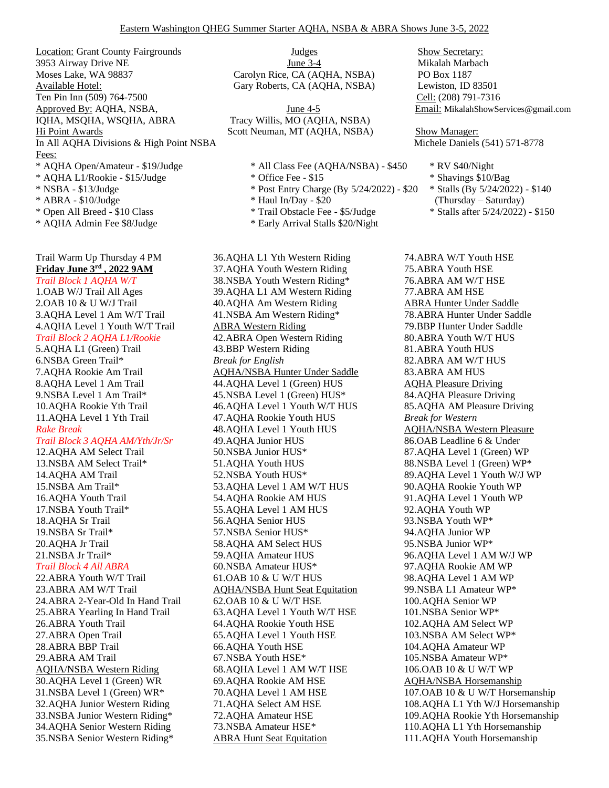Location: Grant County Fairgrounds 3953 Airway Drive NE Moses Lake, WA 98837 Available Hotel: Ten Pin Inn (509) 764-7500 Cell: (208) 791-7316 Approved By: AQHA, NSBA,  $\frac{\text{June } 4-5}{\text{June } 4-5}$  Email: MikalahShowServices@gmail.com IQHA, MSQHA, WSQHA, ABRA Tracy Willis, MO (AQHA, NSBA) Hi Point Awards Scott Neuman, MT (AQHA, NSBA) Show Manager: In All AQHA Divisions & High Point NSBA Michele Daniels (541) 571-8778 Fees: \* AQHA Open/Amateur - \$19/Judge \* All Class Fee (AQHA/NSBA) - \$450 \* RV \$40/Night \* AQHA L1/Rookie - \$15/Judge \* Office Fee - \$15 \* Shavings \$10/Bag \* NSBA - \$13/Judge \* Post Entry Charge (By 5/24/2022) - \$20 \* Stalls (By 5/24/2022) - \$140 \* ABRA - \$10/Judge \* Haul In/Day - \$20 (Thursday – Saturday) \* Open All Breed - \$10 Class \* Trail Obstacle Fee - \$5/Judge \* Stalls after 5/24/2022) - \$150

\* AQHA Admin Fee \$8/Judge \* Early Arrival Stalls \$20/Night

## Trail Warm Up Thursday 4 PM **Friday June 3rd , 2022 9AM** *Trail Block 1 AQHA W/T*

1.OAB W/J Trail All Ages 2.OAB 10 & U W/J Trail 3.AQHA Level 1 Am W/T Trail 4.AQHA Level 1 Youth W/T Trail *Trail Block 2 AQHA L1/Rookie* 5.AQHA L1 (Green) Trail 6.NSBA Green Trail\* 7.AQHA Rookie Am Trail 8.AQHA Level 1 Am Trail 9.NSBA Level 1 Am Trail\* 10.AQHA Rookie Yth Trail 11.AQHA Level 1 Yth Trail *Rake Break Trail Block 3 AQHA AM/Yth/Jr/Sr* 12.AQHA AM Select Trail 13.NSBA AM Select Trail\* 14.AQHA AM Trail 15.NSBA Am Trail\* 16.AQHA Youth Trail 17.NSBA Youth Trail\* 18.AQHA Sr Trail 19.NSBA Sr Trail\* 20.AQHA Jr Trail 21.NSBA Jr Trail\* *Trail Block 4 All ABRA* 22.ABRA Youth W/T Trail 23.ABRA AM W/T Trail 24.ABRA 2-Year-Old In Hand Trail 25.ABRA Yearling In Hand Trail 26.ABRA Youth Trail 27.ABRA Open Trail 28.ABRA BBP Trail 29.ABRA AM Trail AQHA/NSBA Western Riding

30.AQHA Level 1 (Green) WR 31.NSBA Level 1 (Green) WR\* 32.AQHA Junior Western Riding 33.NSBA Junior Western Riding\* 34.AQHA Senior Western Riding 35.NSBA Senior Western Riding\*

**Judges** June 3-4 Carolyn Rice, CA (AQHA, NSBA) Gary Roberts, CA (AQHA, NSBA)

- 
- 
- 
- 
- 
- 

36.AQHA L1 Yth Western Riding 37.AQHA Youth Western Riding 38.NSBA Youth Western Riding\* 39.AQHA L1 AM Western Riding 40.AQHA Am Western Riding 41.NSBA Am Western Riding\* ABRA Western Riding 42.ABRA Open Western Riding 43.BBP Western Riding *Break for English* AQHA/NSBA Hunter Under Saddle 44.AQHA Level 1 (Green) HUS 45.NSBA Level 1 (Green) HUS\* 46.AQHA Level 1 Youth W/T HUS 47.AQHA Rookie Youth HUS 48.AQHA Level 1 Youth HUS 49.AQHA Junior HUS 50.NSBA Junior HUS\* 51.AQHA Youth HUS 52.NSBA Youth HUS\* 53.AQHA Level 1 AM W/T HUS 54.AQHA Rookie AM HUS 55.AQHA Level 1 AM HUS 56.AQHA Senior HUS 57.NSBA Senior HUS\* 58.AQHA AM Select HUS 59.AQHA Amateur HUS 60.NSBA Amateur HUS\* 61.OAB 10 & U W/T HUS AQHA/NSBA Hunt Seat Equitation 62.OAB 10 & U W/T HSE 63.AQHA Level 1 Youth W/T HSE 64.AQHA Rookie Youth HSE 65.AQHA Level 1 Youth HSE 66.AQHA Youth HSE 67.NSBA Youth HSE\* 68.AQHA Level 1 AM W/T HSE 69.AQHA Rookie AM HSE 70.AQHA Level 1 AM HSE 71.AQHA Select AM HSE 72.AQHA Amateur HSE 73.NSBA Amateur HSE\* ABRA Hunt Seat Equitation

Show Secretary: Mikalah Marbach PO Box 1187 Lewiston, ID 83501

74.ABRA W/T Youth HSE 75.ABRA Youth HSE 76.ABRA AM W/T HSE 77.ABRA AM HSE ABRA Hunter Under Saddle 78.ABRA Hunter Under Saddle 79.BBP Hunter Under Saddle 80.ABRA Youth W/T HUS 81.ABRA Youth HUS 82.ABRA AM W/T HUS 83.ABRA AM HUS AQHA Pleasure Driving 84.AQHA Pleasure Driving 85.AQHA AM Pleasure Driving *Break for Western* AQHA/NSBA Western Pleasure 86.OAB Leadline 6 & Under 87.AQHA Level 1 (Green) WP 88.NSBA Level 1 (Green) WP\* 89.AQHA Level 1 Youth W/J WP 90.AQHA Rookie Youth WP 91.AQHA Level 1 Youth WP 92.AQHA Youth WP 93.NSBA Youth WP\* 94.AQHA Junior WP 95.NSBA Junior WP\* 96.AQHA Level 1 AM W/J WP 97.AQHA Rookie AM WP 98.AQHA Level 1 AM WP 99.NSBA L1 Amateur WP\* 100.AQHA Senior WP 101.NSBA Senior WP\* 102.AQHA AM Select WP 103.NSBA AM Select WP\* 104.AQHA Amateur WP 105.NSBA Amateur WP\* 106.OAB 10 & U W/T WP AQHA/NSBA Horsemanship 107.OAB 10 & U W/T Horsemanship 108.AQHA L1 Yth W/J Horsemanship 109.AQHA Rookie Yth Horsemanship 110.AQHA L1 Yth Horsemanship 111.AQHA Youth Horsemanship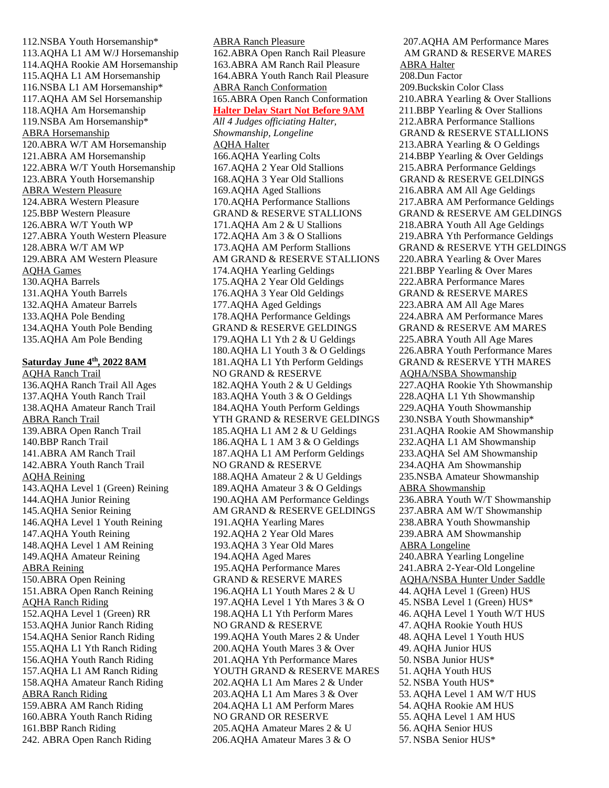112.NSBA Youth Horsemanship\* 113.AQHA L1 AM W/J Horsemanship 114.AQHA Rookie AM Horsemanship 115.AQHA L1 AM Horsemanship 116.NSBA L1 AM Horsemanship\* 117.AQHA AM Sel Horsemanship 118.AQHA Am Horsemanship 119.NSBA Am Horsemanship\* ABRA Horsemanship 120.ABRA W/T AM Horsemanship 121.ABRA AM Horsemanship 122.ABRA W/T Youth Horsemanship 123.ABRA Youth Horsemanship ABRA Western Pleasure 124.ABRA Western Pleasure 125.BBP Western Pleasure 126.ABRA W/T Youth WP 127.ABRA Youth Western Pleasure 128.ABRA W/T AM WP 129.ABRA AM Western Pleasure AQHA Games 130.AQHA Barrels 131.AQHA Youth Barrels 132.AQHA Amateur Barrels 133.AQHA Pole Bending 134.AQHA Youth Pole Bending 135.AQHA Am Pole Bending

## **Saturday June 4th, 2022 8AM**

AQHA Ranch Trail 136.AQHA Ranch Trail All Ages 137.AQHA Youth Ranch Trail 138.AQHA Amateur Ranch Trail ABRA Ranch Trail 139.ABRA Open Ranch Trail 140.BBP Ranch Trail 141.ABRA AM Ranch Trail 142.ABRA Youth Ranch Trail AQHA Reining 143.AQHA Level 1 (Green) Reining 144.AQHA Junior Reining 145.AQHA Senior Reining 146.AQHA Level 1 Youth Reining 147.AQHA Youth Reining 148.AQHA Level 1 AM Reining 149.AQHA Amateur Reining ABRA Reining 150.ABRA Open Reining 151.ABRA Open Ranch Reining AQHA Ranch Riding 152.AQHA Level 1 (Green) RR 153.AQHA Junior Ranch Riding 154.AQHA Senior Ranch Riding 155.AQHA L1 Yth Ranch Riding 156.AQHA Youth Ranch Riding 157.AQHA L1 AM Ranch Riding 158.AQHA Amateur Ranch Riding ABRA Ranch Riding 159.ABRA AM Ranch Riding 160.ABRA Youth Ranch Riding 161.BBP Ranch Riding 242. ABRA Open Ranch Riding

ABRA Ranch Pleasure 162.ABRA Open Ranch Rail Pleasure 163.ABRA AM Ranch Rail Pleasure 164.ABRA Youth Ranch Rail Pleasure ABRA Ranch Conformation 165.ABRA Open Ranch Conformation **Halter Delay Start Not Before 9AM** *All 4 Judges officiating Halter, Showmanship, Longeline* AQHA Halter 166.AQHA Yearling Colts 167.AQHA 2 Year Old Stallions 168.AQHA 3 Year Old Stallions 169.AQHA Aged Stallions 170.AQHA Performance Stallions GRAND & RESERVE STALLIONS 171.AQHA Am 2 & U Stallions 172.AQHA Am 3 & O Stallions 173.AQHA AM Perform Stallions AM GRAND & RESERVE STALLIONS 174.AQHA Yearling Geldings 175.AQHA 2 Year Old Geldings 176.AQHA 3 Year Old Geldings 177.AQHA Aged Geldings 178.AQHA Performance Geldings GRAND & RESERVE GELDINGS 179.AQHA L1 Yth 2 & U Geldings 180.AQHA L1 Youth 3 & O Geldings 181.AQHA L1 Yth Perform Geldings NO GRAND & RESERVE 182.AQHA Youth 2 & U Geldings 183.AQHA Youth 3 & O Geldings 184.AQHA Youth Perform Geldings YTH GRAND & RESERVE GELDINGS 185.AQHA L1 AM 2 & U Geldings 186.AQHA L 1 AM 3 & O Geldings 187.AQHA L1 AM Perform Geldings NO GRAND & RESERVE 188.AQHA Amateur 2 & U Geldings 189.AQHA Amateur 3 & O Geldings 190.AQHA AM Performance Geldings AM GRAND & RESERVE GELDINGS 191.AQHA Yearling Mares 192.AQHA 2 Year Old Mares 193.AQHA 3 Year Old Mares 194.AQHA Aged Mares 195.AQHA Performance Mares GRAND & RESERVE MARES 196.AQHA L1 Youth Mares 2 & U 197.AQHA Level 1 Yth Mares 3 & O 198.AQHA L1 Yth Perform Mares NO GRAND & RESERVE 199.AQHA Youth Mares 2 & Under 200.AQHA Youth Mares 3 & Over 201.AQHA Yth Performance Mares YOUTH GRAND & RESERVE MARES 202.AQHA L1 Am Mares 2 & Under 203.AQHA L1 Am Mares 3 & Over 204.AQHA L1 AM Perform Mares NO GRAND OR RESERVE 205.AQHA Amateur Mares 2 & U 206.AQHA Amateur Mares 3 & O

207.AQHA AM Performance Mares AM GRAND & RESERVE MARES ABRA Halter 208.Dun Factor 209.Buckskin Color Class 210.ABRA Yearling & Over Stallions 211.BBP Yearling & Over Stallions 212.ABRA Performance Stallions GRAND & RESERVE STALLIONS 213.ABRA Yearling & O Geldings 214.BBP Yearling & Over Geldings 215.ABRA Performance Geldings GRAND & RESERVE GELDINGS 216.ABRA AM All Age Geldings 217.ABRA AM Performance Geldings GRAND & RESERVE AM GELDINGS 218.ABRA Youth All Age Geldings 219.ABRA Yth Performance Geldings GRAND & RESERVE YTH GELDINGS 220.ABRA Yearling & Over Mares 221.BBP Yearling & Over Mares 222.ABRA Performance Mares GRAND & RESERVE MARES 223.ABRA AM All Age Mares 224.ABRA AM Performance Mares GRAND & RESERVE AM MARES 225.ABRA Youth All Age Mares 226.ABRA Youth Performance Mares GRAND & RESERVE YTH MARES AQHA/NSBA Showmanship 227.AQHA Rookie Yth Showmanship 228.AQHA L1 Yth Showmanship 229.AQHA Youth Showmanship 230.NSBA Youth Showmanship\* 231.AQHA Rookie AM Showmanship 232.AQHA L1 AM Showmanship 233.AQHA Sel AM Showmanship 234.AQHA Am Showmanship 235.NSBA Amateur Showmanship ABRA Showmanship 236.ABRA Youth W/T Showmanship 237.ABRA AM W/T Showmanship 238.ABRA Youth Showmanship 239.ABRA AM Showmanship ABRA Longeline 240.ABRA Yearling Longeline 241.ABRA 2-Year-Old Longeline AQHA/NSBA Hunter Under Saddle 44. AQHA Level 1 (Green) HUS 45. NSBA Level 1 (Green) HUS\* 46. AQHA Level 1 Youth W/T HUS 47. AQHA Rookie Youth HUS 48. AQHA Level 1 Youth HUS 49. AQHA Junior HUS 50. NSBA Junior HUS\* 51. AQHA Youth HUS 52. NSBA Youth HUS\* 53. AQHA Level 1 AM W/T HUS 54. AQHA Rookie AM HUS 55. AQHA Level 1 AM HUS 56. AQHA Senior HUS 57. NSBA Senior HUS\*